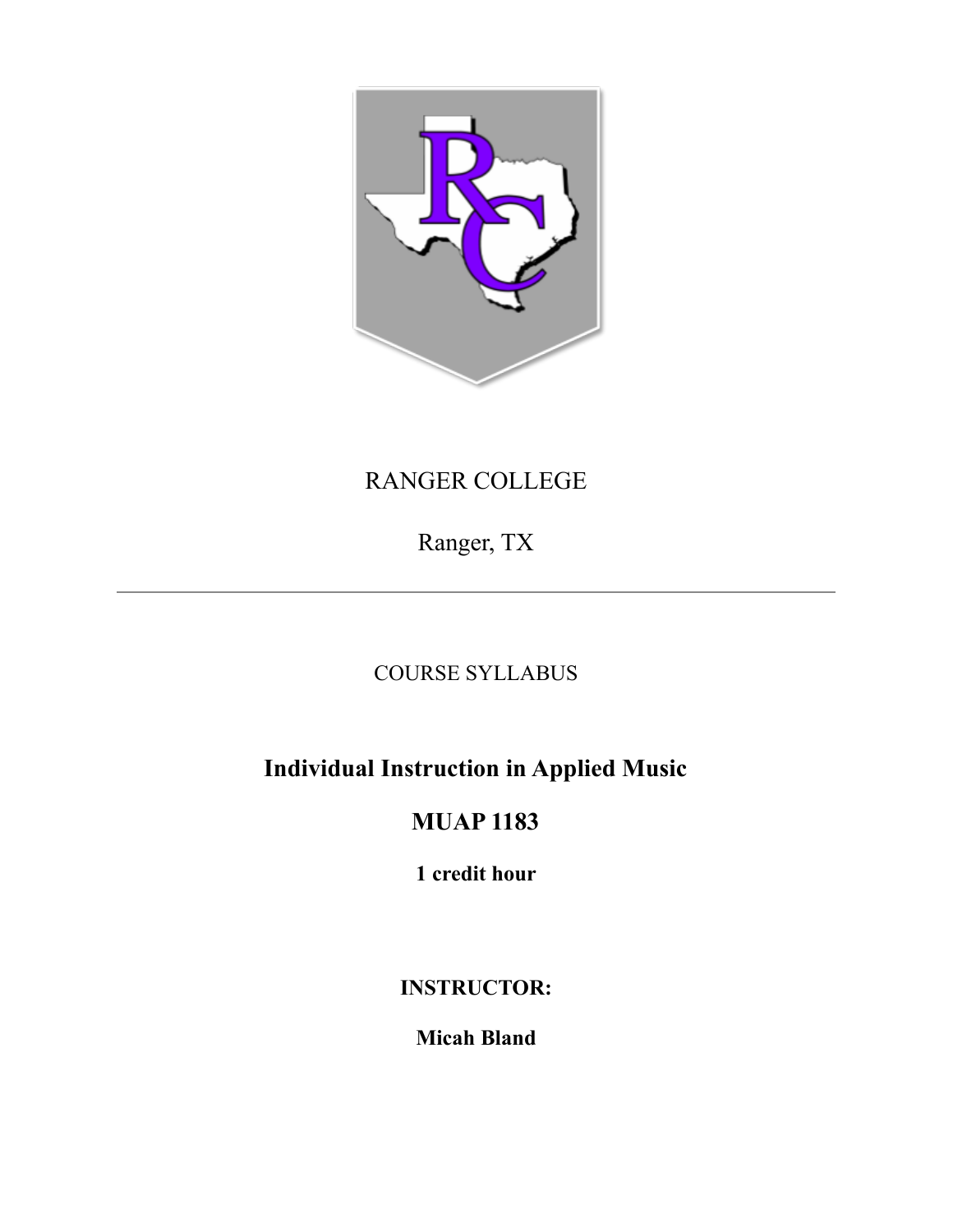

# RANGER COLLEGE

Ranger, TX

## COURSE SYLLABUS

# **Individual Instruction in Applied Music**

## **MUAP 1183**

**1 credit hour**

## **INSTRUCTOR:**

## **Micah Bland**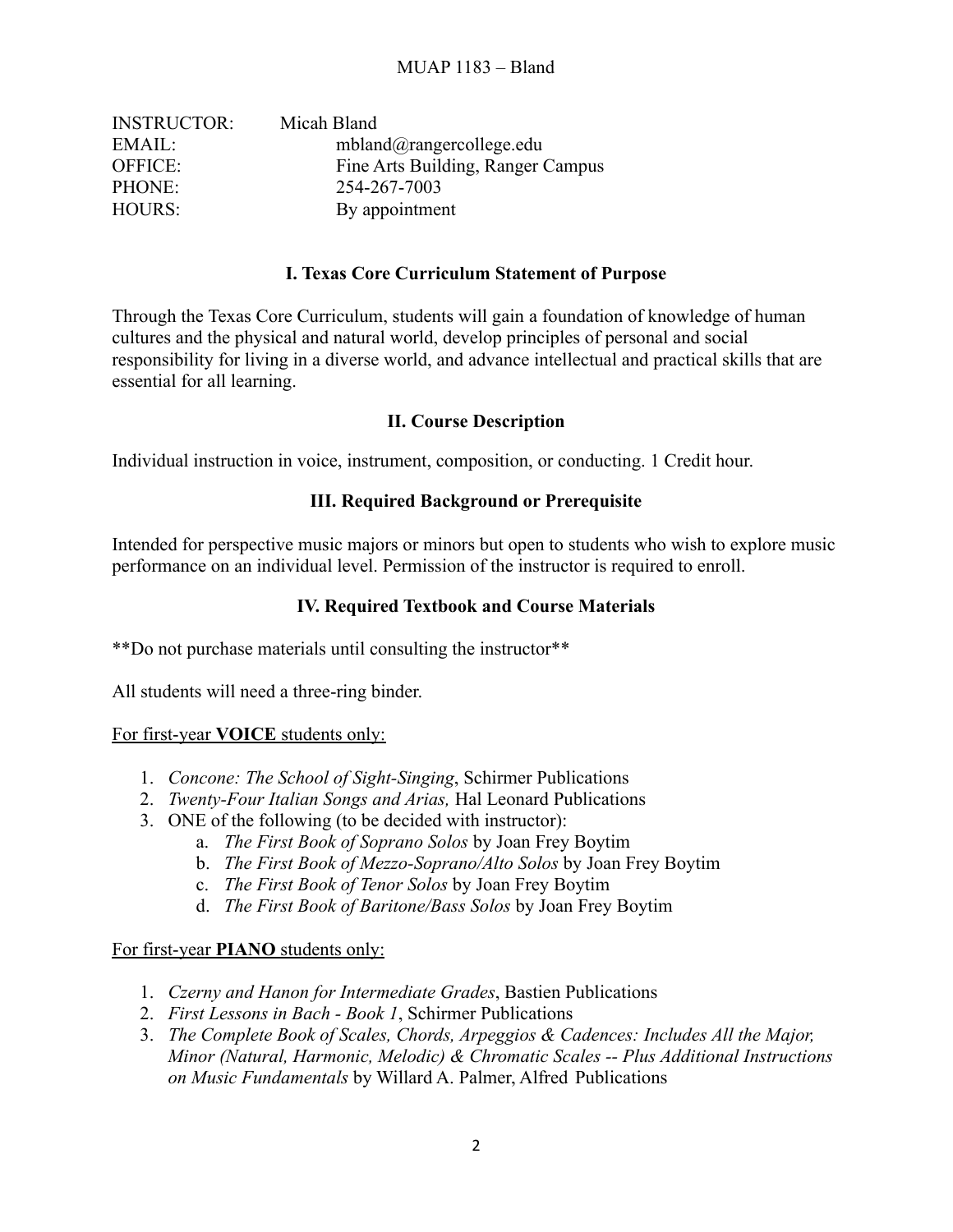| <b>INSTRUCTOR:</b> | Micah Bland                       |
|--------------------|-----------------------------------|
| EMAIL:             | $mbland@range$ rcollege.edu       |
| <b>OFFICE:</b>     | Fine Arts Building, Ranger Campus |
| PHONE:             | 254-267-7003                      |
| HOURS:             | By appointment                    |

#### **I. Texas Core Curriculum Statement of Purpose**

Through the Texas Core Curriculum, students will gain a foundation of knowledge of human cultures and the physical and natural world, develop principles of personal and social responsibility for living in a diverse world, and advance intellectual and practical skills that are essential for all learning.

#### **II. Course Description**

Individual instruction in voice, instrument, composition, or conducting. 1 Credit hour.

#### **III. Required Background or Prerequisite**

Intended for perspective music majors or minors but open to students who wish to explore music performance on an individual level. Permission of the instructor is required to enroll.

#### **IV. Required Textbook and Course Materials**

\*\*Do not purchase materials until consulting the instructor\*\*

All students will need a three-ring binder.

#### For first-year **VOICE** students only:

- 1. *Concone: The School of Sight-Singing*, Schirmer Publications
- 2. *Twenty-Four Italian Songs and Arias,* Hal Leonard Publications
- 3. ONE of the following (to be decided with instructor):
	- a. *The First Book of Soprano Solos* by Joan Frey Boytim
	- b. *The First Book of Mezzo-Soprano/Alto Solos* by Joan Frey Boytim
	- c. *The First Book of Tenor Solos* by Joan Frey Boytim
	- d. *The First Book of Baritone/Bass Solos* by Joan Frey Boytim

#### For first-year **PIANO** students only:

- 1. *Czerny and Hanon for Intermediate Grades*, Bastien Publications
- 2. *First Lessons in Bach Book 1*, Schirmer Publications
- 3. *The Complete Book of Scales, Chords, Arpeggios & Cadences: Includes All the Major, Minor (Natural, Harmonic, Melodic) & Chromatic Scales -- Plus Additional Instructions on Music Fundamentals* by Willard A. Palmer, Alfred Publications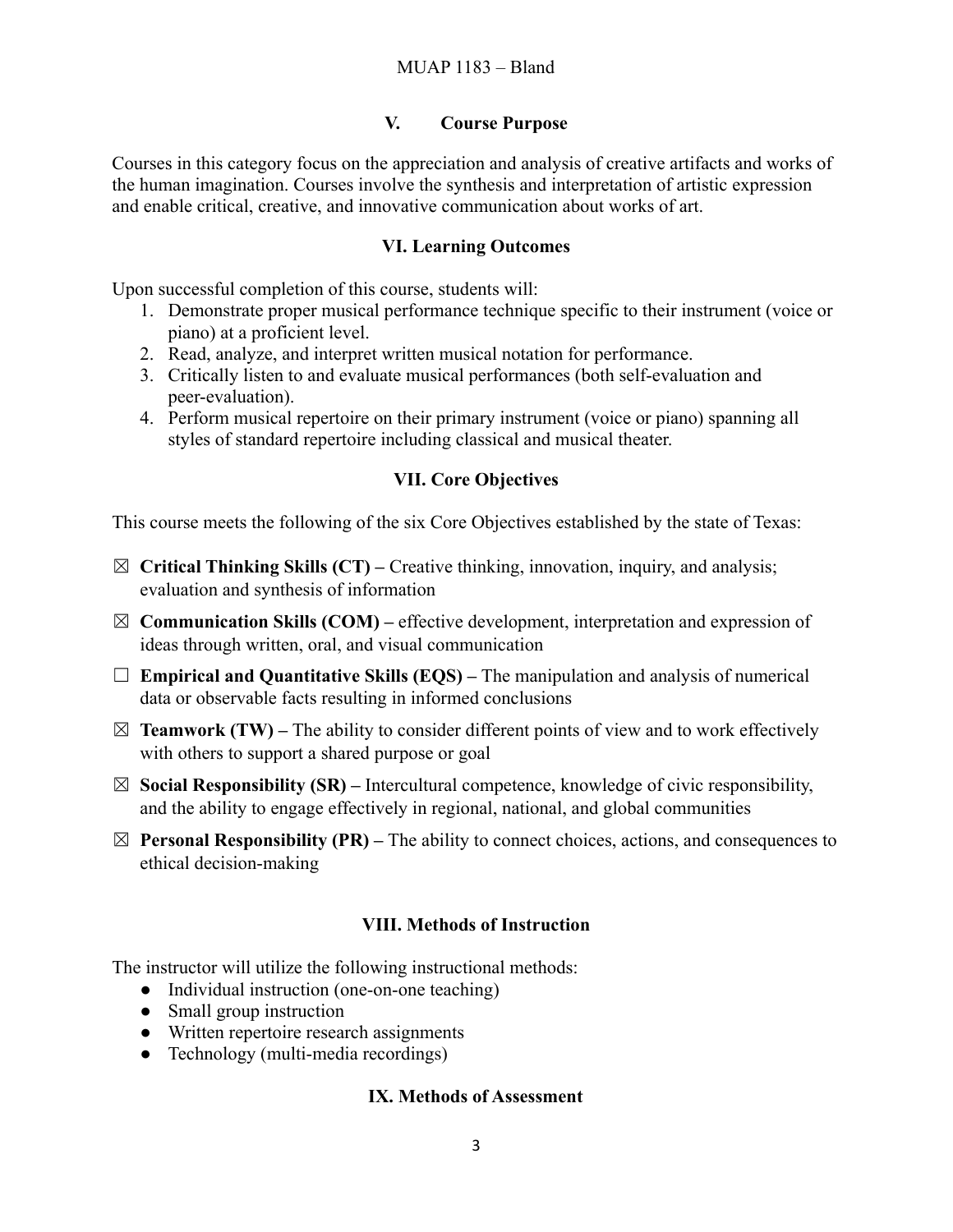#### **V. Course Purpose**

Courses in this category focus on the appreciation and analysis of creative artifacts and works of the human imagination. Courses involve the synthesis and interpretation of artistic expression and enable critical, creative, and innovative communication about works of art.

#### **VI. Learning Outcomes**

Upon successful completion of this course, students will:

- 1. Demonstrate proper musical performance technique specific to their instrument (voice or piano) at a proficient level.
- 2. Read, analyze, and interpret written musical notation for performance.
- 3. Critically listen to and evaluate musical performances (both self-evaluation and peer-evaluation).
- 4. Perform musical repertoire on their primary instrument (voice or piano) spanning all styles of standard repertoire including classical and musical theater.

#### **VII. Core Objectives**

This course meets the following of the six Core Objectives established by the state of Texas:

- ☒ **Critical Thinking Skills (CT) –** Creative thinking, innovation, inquiry, and analysis; evaluation and synthesis of information
- $\boxtimes$  **Communication Skills (COM)** effective development, interpretation and expression of ideas through written, oral, and visual communication
- ☐ **Empirical and Quantitative Skills (EQS) –** The manipulation and analysis of numerical data or observable facts resulting in informed conclusions
- $\boxtimes$  **Teamwork (TW)** The ability to consider different points of view and to work effectively with others to support a shared purpose or goal
- ☒ **Social Responsibility (SR) –** Intercultural competence, knowledge of civic responsibility, and the ability to engage effectively in regional, national, and global communities
- $\boxtimes$  **Personal Responsibility (PR)** The ability to connect choices, actions, and consequences to ethical decision-making

## **VIII. Methods of Instruction**

The instructor will utilize the following instructional methods:

- Individual instruction (one-on-one teaching)
- Small group instruction
- Written repertoire research assignments
- Technology (multi-media recordings)

#### **IX. Methods of Assessment**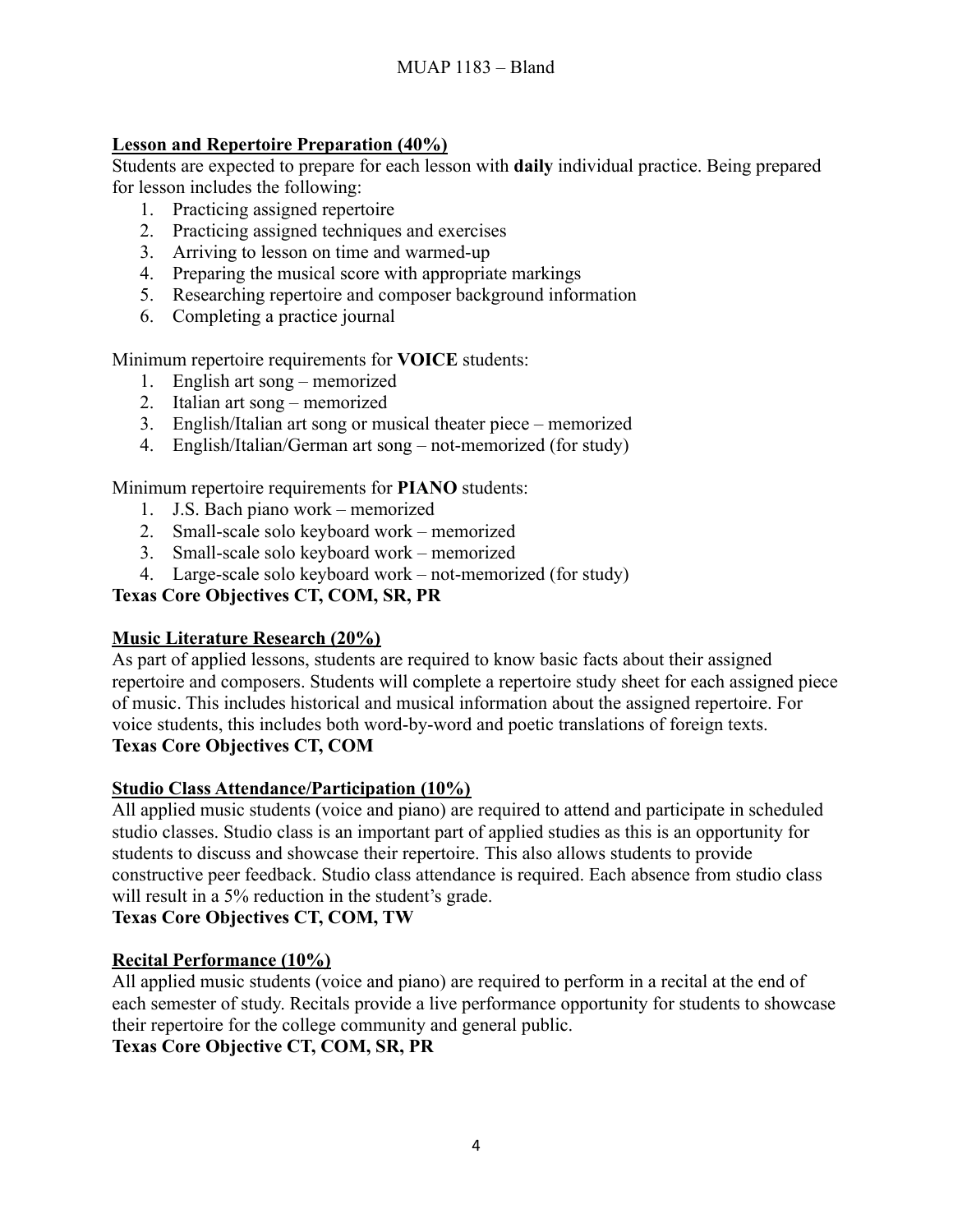## **Lesson and Repertoire Preparation (40%)**

Students are expected to prepare for each lesson with **daily** individual practice. Being prepared for lesson includes the following:

- 1. Practicing assigned repertoire
- 2. Practicing assigned techniques and exercises
- 3. Arriving to lesson on time and warmed-up
- 4. Preparing the musical score with appropriate markings
- 5. Researching repertoire and composer background information
- 6. Completing a practice journal

Minimum repertoire requirements for **VOICE** students:

- 1. English art song memorized
- 2. Italian art song memorized
- 3. English/Italian art song or musical theater piece memorized
- 4. English/Italian/German art song not-memorized (for study)

Minimum repertoire requirements for **PIANO** students:

- 1. J.S. Bach piano work memorized
- 2. Small-scale solo keyboard work memorized
- 3. Small-scale solo keyboard work memorized
- 4. Large-scale solo keyboard work not-memorized (for study)

## **Texas Core Objectives CT, COM, SR, PR**

## **Music Literature Research (20%)**

As part of applied lessons, students are required to know basic facts about their assigned repertoire and composers. Students will complete a repertoire study sheet for each assigned piece of music. This includes historical and musical information about the assigned repertoire. For voice students, this includes both word-by-word and poetic translations of foreign texts. **Texas Core Objectives CT, COM**

#### **Studio Class Attendance/Participation (10%)**

All applied music students (voice and piano) are required to attend and participate in scheduled studio classes. Studio class is an important part of applied studies as this is an opportunity for students to discuss and showcase their repertoire. This also allows students to provide constructive peer feedback. Studio class attendance is required. Each absence from studio class will result in a 5% reduction in the student's grade.

#### **Texas Core Objectives CT, COM, TW**

## **Recital Performance (10%)**

All applied music students (voice and piano) are required to perform in a recital at the end of each semester of study. Recitals provide a live performance opportunity for students to showcase their repertoire for the college community and general public. **Texas Core Objective CT, COM, SR, PR**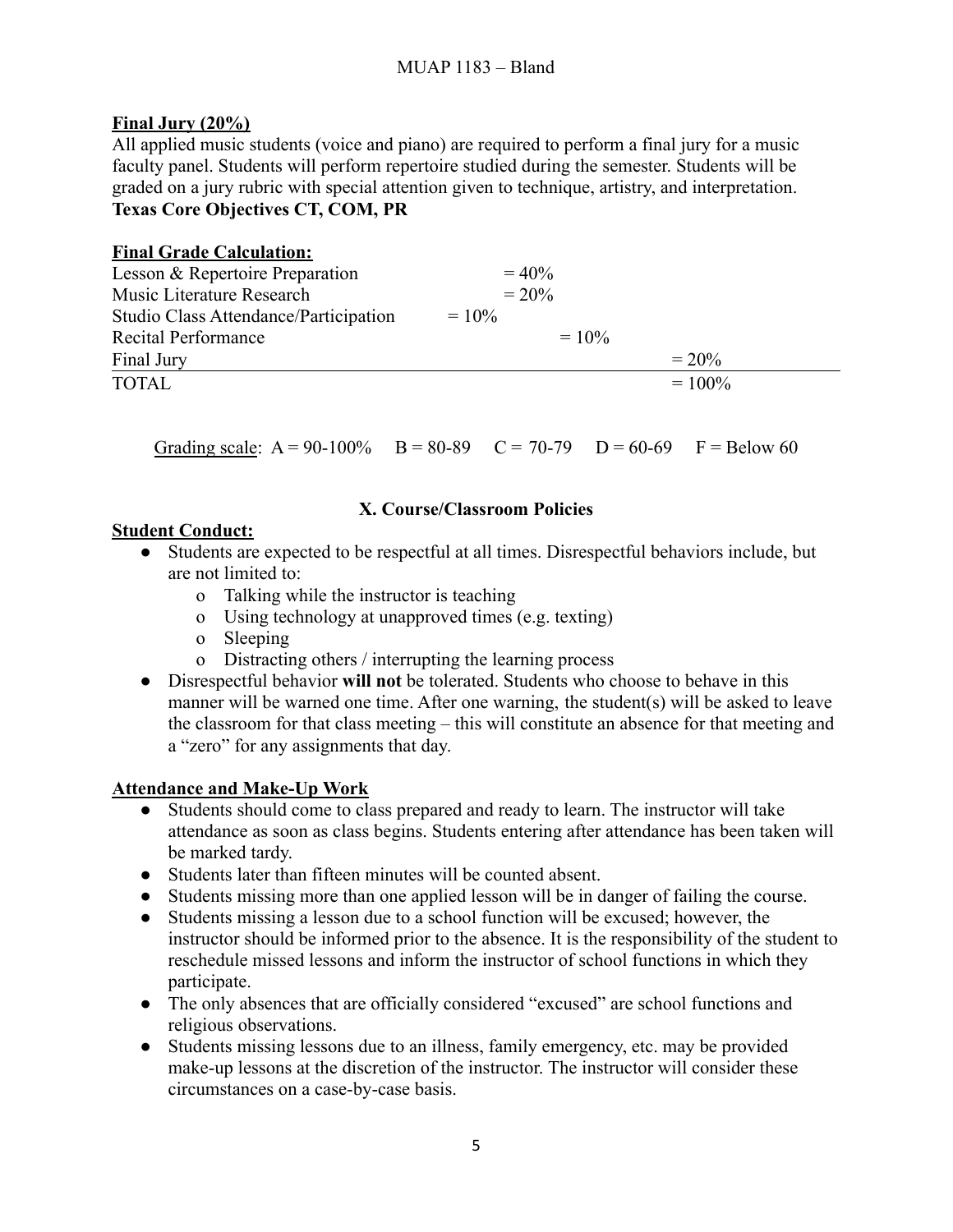## **Final Jury (20%)**

All applied music students (voice and piano) are required to perform a final jury for a music faculty panel. Students will perform repertoire studied during the semester. Students will be graded on a jury rubric with special attention given to technique, artistry, and interpretation. **Texas Core Objectives CT, COM, PR**

| <b>Final Grade Calculation:</b>       |          |           |
|---------------------------------------|----------|-----------|
| Lesson & Repertoire Preparation       | $= 40\%$ |           |
| Music Literature Research             | $= 20\%$ |           |
| Studio Class Attendance/Participation | $= 10\%$ |           |
| Recital Performance                   | $= 10\%$ |           |
| Final Jury                            |          | $= 20\%$  |
| <b>TOTAL</b>                          |          | $= 100\%$ |

Grading scale:  $A = 90-100\%$  B = 80-89 C = 70-79 D = 60-69 F = Below 60

## **X. Course/Classroom Policies**

## **Student Conduct:**

- Students are expected to be respectful at all times. Disrespectful behaviors include, but are not limited to:
	- o Talking while the instructor is teaching
	- o Using technology at unapproved times (e.g. texting)
	- o Sleeping
	- o Distracting others / interrupting the learning process
- Disrespectful behavior **will not** be tolerated. Students who choose to behave in this manner will be warned one time. After one warning, the student(s) will be asked to leave the classroom for that class meeting – this will constitute an absence for that meeting and a "zero" for any assignments that day.

## **Attendance and Make-Up Work**

- Students should come to class prepared and ready to learn. The instructor will take attendance as soon as class begins. Students entering after attendance has been taken will be marked tardy.
- Students later than fifteen minutes will be counted absent.
- Students missing more than one applied lesson will be in danger of failing the course.
- Students missing a lesson due to a school function will be excused; however, the instructor should be informed prior to the absence. It is the responsibility of the student to reschedule missed lessons and inform the instructor of school functions in which they participate.
- The only absences that are officially considered "excused" are school functions and religious observations.
- Students missing lessons due to an illness, family emergency, etc. may be provided make-up lessons at the discretion of the instructor. The instructor will consider these circumstances on a case-by-case basis.